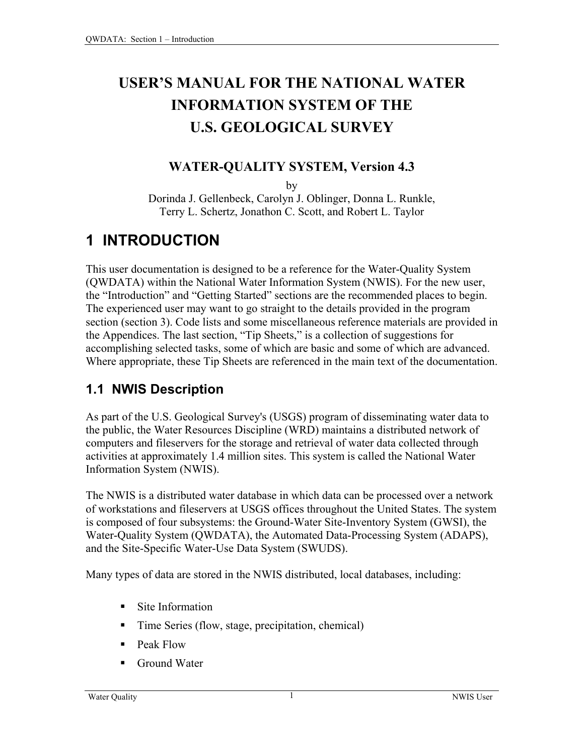# **USER'S MANUAL FOR THE NATIONAL WATER INFORMATION SYSTEM OF THE U.S. GEOLOGICAL SURVEY**

#### **WATER-QUALITY SYSTEM, Version 4.3**

by

Dorinda J. Gellenbeck, Carolyn J. Oblinger, Donna L. Runkle, Terry L. Schertz, Jonathon C. Scott, and Robert L. Taylor

## **1 INTRODUCTION**

This user documentation is designed to be a reference for the Water-Quality System (QWDATA) within the National Water Information System (NWIS). For the new user, the "Introduction" and "Getting Started" sections are the recommended places to begin. The experienced user may want to go straight to the details provided in the program section (section 3). Code lists and some miscellaneous reference materials are provided in the Appendices. The last section, "Tip Sheets," is a collection of suggestions for accomplishing selected tasks, some of which are basic and some of which are advanced. Where appropriate, these Tip Sheets are referenced in the main text of the documentation.

#### **1.1 NWIS Description**

As part of the U.S. Geological Survey's (USGS) program of disseminating water data to the public, the Water Resources Discipline (WRD) maintains a distributed network of computers and fileservers for the storage and retrieval of water data collected through activities at approximately 1.4 million sites. This system is called the National Water Information System (NWIS).

The NWIS is a distributed water database in which data can be processed over a network of workstations and fileservers at USGS offices throughout the United States. The system is composed of four subsystems: the Ground-Water Site-Inventory System (GWSI), the Water-Quality System (QWDATA), the Automated Data-Processing System (ADAPS), and the Site-Specific Water-Use Data System (SWUDS).

Many types of data are stored in the NWIS distributed, local databases, including:

- Site Information
- Time Series (flow, stage, precipitation, chemical)
- Peak Flow
- Ground Water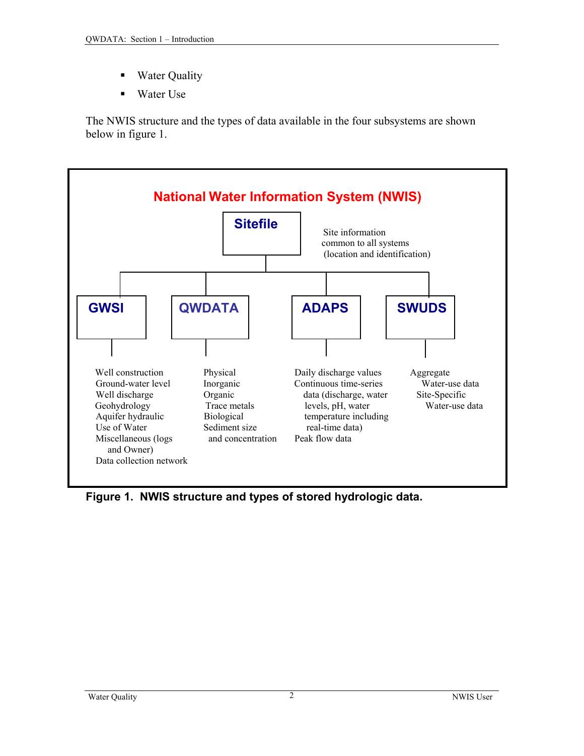- Water Quality
- Water Use

The NWIS structure and the types of data available in the four subsystems are shown below in figure 1.



**Figure 1. NWIS structure and types of stored hydrologic data.**